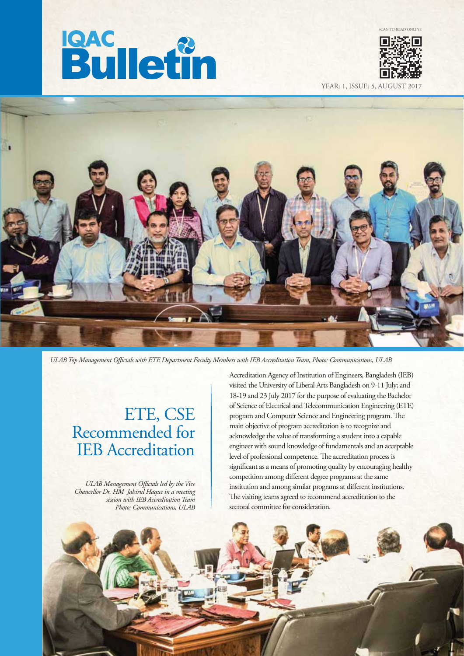



SCAN TO READ ONLINE

YEAR: 1, ISSUE: 5, AUGU



*ULAB Top Management Ocials with ETE Department Faculty Members with IEB Accreditation Team, Photo: Communications, ULAB* 

## ETE, CSE Recommended for IEB Accreditation

*ULAB Management Ocials led by the Vice Chancellor Dr. HM Jahirul Haque in a meeting session with IEB Accreditation Team Photo: Communications, ULAB* 

Accreditation Agency of Institution of Engineers, Bangladesh (IEB) visited the University of Liberal Arts Bangladesh on 9-11 July; and 18-19 and 23 July 2017 for the purpose of evaluating the Bachelor of Science of Electrical and Telecommunication Engineering (ETE) program and Computer Science and Engineering program. The main objective of program accreditation is to recognize and acknowledge the value of transforming a student into a capable engineer with sound knowledge of fundamentals and an acceptable level of professional competence. The accreditation process is significant as a means of promoting quality by encouraging healthy competition among different degree programs at the same institution and among similar programs at different institutions. The visiting teams agreed to recommend accreditation to the sectoral committee for consideration.